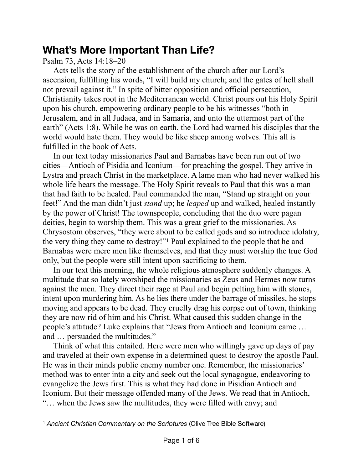## **What's More Important Than Life?**

Psalm 73, Acts 14:18–20

Acts tells the story of the establishment of the church after our Lord's ascension, fulfilling his words, "I will build my church; and the gates of hell shall not prevail against it." In spite of bitter opposition and official persecution, Christianity takes root in the Mediterranean world. Christ pours out his Holy Spirit upon his church, empowering ordinary people to be his witnesses "both in Jerusalem, and in all Judaea, and in Samaria, and unto the uttermost part of the earth" (Acts 1:8). While he was on earth, the Lord had warned his disciples that the world would hate them. They would be like sheep among wolves. This all is fulfilled in the book of Acts.

In our text today missionaries Paul and Barnabas have been run out of two cities—Antioch of Pisidia and Iconium—for preaching the gospel. They arrive in Lystra and preach Christ in the marketplace. A lame man who had never walked his whole life hears the message. The Holy Spirit reveals to Paul that this was a man that had faith to be healed. Paul commanded the man, "Stand up straight on your feet!" And the man didn't just *stand* up; he *leaped* up and walked, healed instantly by the power of Christ! The townspeople, concluding that the duo were pagan deities, begin to worship them. This was a great grief to the missionaries. As Chrysostom observes, "they were about to be called gods and so introduce idolatry, the very thing they came to destroy!["](#page-0-0) Paul explained to the people that he and Barnabas were mere men like themselves, and that they must worship the true God only, but the people were still intent upon sacrificing to them.

<span id="page-0-1"></span>In our text this morning, the whole religious atmosphere suddenly changes. A multitude that so lately worshiped the missionaries as Zeus and Hermes now turns against the men. They direct their rage at Paul and begin pelting him with stones, intent upon murdering him. As he lies there under the barrage of missiles, he stops moving and appears to be dead. They cruelly drag his corpse out of town, thinking they are now rid of him and his Christ. What caused this sudden change in the people's attitude? Luke explains that "Jews from Antioch and Iconium came … and … persuaded the multitudes."

Think of what this entailed. Here were men who willingly gave up days of pay and traveled at their own expense in a determined quest to destroy the apostle Paul. He was in their minds public enemy number one. Remember, the missionaries' method was to enter into a city and seek out the local synagogue, endeavoring to evangelize the Jews first. This is what they had done in Pisidian Antioch and Iconium. But their message offended many of the Jews. We read that in Antioch, "… when the Jews saw the multitudes, they were filled with envy; and

<span id="page-0-0"></span>*Ancient Christian Commentary on the Scriptures* (Olive Tree Bible Software) [1](#page-0-1)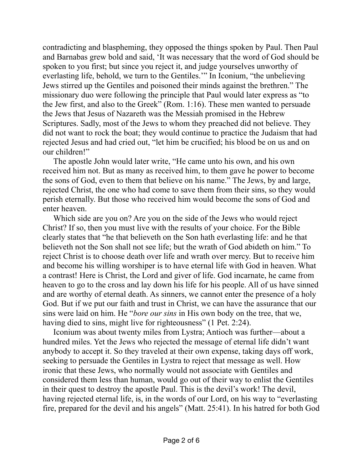contradicting and blaspheming, they opposed the things spoken by Paul. Then Paul and Barnabas grew bold and said, 'It was necessary that the word of God should be spoken to you first; but since you reject it, and judge yourselves unworthy of everlasting life, behold, we turn to the Gentiles.'" In Iconium, "the unbelieving Jews stirred up the Gentiles and poisoned their minds against the brethren." The missionary duo were following the principle that Paul would later express as "to the Jew first, and also to the Greek" (Rom. 1:16). These men wanted to persuade the Jews that Jesus of Nazareth was the Messiah promised in the Hebrew Scriptures. Sadly, most of the Jews to whom they preached did not believe. They did not want to rock the boat; they would continue to practice the Judaism that had rejected Jesus and had cried out, "let him be crucified; his blood be on us and on our children!"

The apostle John would later write, "He came unto his own, and his own received him not. But as many as received him, to them gave he power to become the sons of God, even to them that believe on his name." The Jews, by and large, rejected Christ, the one who had come to save them from their sins, so they would perish eternally. But those who received him would become the sons of God and enter heaven.

Which side are you on? Are you on the side of the Jews who would reject Christ? If so, then you must live with the results of your choice. For the Bible clearly states that "he that believeth on the Son hath everlasting life: and he that believeth not the Son shall not see life; but the wrath of God abideth on him." To reject Christ is to choose death over life and wrath over mercy. But to receive him and become his willing worshiper is to have eternal life with God in heaven. What a contrast! Here is Christ, the Lord and giver of life. God incarnate, he came from heaven to go to the cross and lay down his life for his people. All of us have sinned and are worthy of eternal death. As sinners, we cannot enter the presence of a holy God. But if we put our faith and trust in Christ, we can have the assurance that our sins were laid on him. He "*bore our sins* in His own body on the tree, that we, having died to sins, might live for righteousness" (1 Pet. 2:24).

Iconium was about twenty miles from Lystra; Antioch was further—about a hundred miles. Yet the Jews who rejected the message of eternal life didn't want anybody to accept it. So they traveled at their own expense, taking days off work, seeking to persuade the Gentiles in Lystra to reject that message as well. How ironic that these Jews, who normally would not associate with Gentiles and considered them less than human, would go out of their way to enlist the Gentiles in their quest to destroy the apostle Paul. This is the devil's work! The devil, having rejected eternal life, is, in the words of our Lord, on his way to "everlasting fire, prepared for the devil and his angels" (Matt. 25:41). In his hatred for both God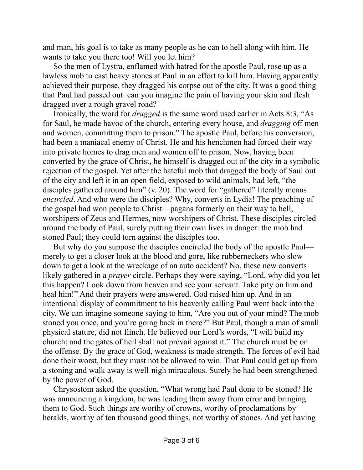and man, his goal is to take as many people as he can to hell along with him. He wants to take you there too! Will you let him?

So the men of Lystra, enflamed with hatred for the apostle Paul, rose up as a lawless mob to cast heavy stones at Paul in an effort to kill him. Having apparently achieved their purpose, they dragged his corpse out of the city. It was a good thing that Paul had passed out: can you imagine the pain of having your skin and flesh dragged over a rough gravel road?

Ironically, the word for *dragged* is the same word used earlier in Acts 8:3, "As for Saul, he made havoc of the church, entering every house, and *dragging* off men and women, committing them to prison." The apostle Paul, before his conversion, had been a maniacal enemy of Christ. He and his henchmen had forced their way into private homes to drag men and women off to prison. Now, having been converted by the grace of Christ, he himself is dragged out of the city in a symbolic rejection of the gospel. Yet after the hateful mob that dragged the body of Saul out of the city and left it in an open field, exposed to wild animals, had left, "the disciples gathered around him" (v. 20). The word for "gathered" literally means *encircled*. And who were the disciples? Why, converts in Lydia! The preaching of the gospel had won people to Christ—pagans formerly on their way to hell, worshipers of Zeus and Hermes, now worshipers of Christ. These disciples circled around the body of Paul, surely putting their own lives in danger: the mob had stoned Paul; they could turn against the disciples too.

But why do you suppose the disciples encircled the body of the apostle Paul merely to get a closer look at the blood and gore, like rubberneckers who slow down to get a look at the wreckage of an auto accident? No, these new converts likely gathered in a *prayer* circle. Perhaps they were saying, "Lord, why did you let this happen? Look down from heaven and see your servant. Take pity on him and heal him!" And their prayers were answered. God raised him up. And in an intentional display of commitment to his heavenly calling Paul went back into the city. We can imagine someone saying to him, "Are you out of your mind? The mob stoned you once, and you're going back in there?" But Paul, though a man of small physical stature, did not flinch. He believed our Lord's words, "I will build my church; and the gates of hell shall not prevail against it." The church must be on the offense. By the grace of God, weakness is made strength. The forces of evil had done their worst, but they must not be allowed to win. That Paul could get up from a stoning and walk away is well-nigh miraculous. Surely he had been strengthened by the power of God.

Chrysostom asked the question, "What wrong had Paul done to be stoned? He was announcing a kingdom, he was leading them away from error and bringing them to God. Such things are worthy of crowns, worthy of proclamations by heralds, worthy of ten thousand good things, not worthy of stones. And yet having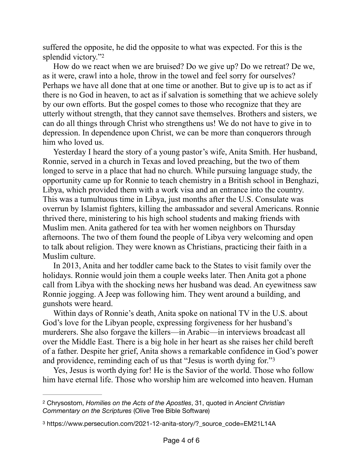<span id="page-3-2"></span>suffered the opposite, he did the opposite to what was expected. For this is the splendid victory.["2](#page-3-0)

How do we react when we are bruised? Do we give up? Do we retreat? De we, as it were, crawl into a hole, throw in the towel and feel sorry for ourselves? Perhaps we have all done that at one time or another. But to give up is to act as if there is no God in heaven, to act as if salvation is something that we achieve solely by our own efforts. But the gospel comes to those who recognize that they are utterly without strength, that they cannot save themselves. Brothers and sisters, we can do all things through Christ who strengthens us! We do not have to give in to depression. In dependence upon Christ, we can be more than conquerors through him who loved us.

Yesterday I heard the story of a young pastor's wife, Anita Smith. Her husband, Ronnie, served in a church in Texas and loved preaching, but the two of them longed to serve in a place that had no church. While pursuing language study, the opportunity came up for Ronnie to teach chemistry in a British school in Benghazi, Libya, which provided them with a work visa and an entrance into the country. This was a tumultuous time in Libya, just months after the U.S. Consulate was overrun by Islamist fighters, killing the ambassador and several Americans. Ronnie thrived there, ministering to his high school students and making friends with Muslim men. Anita gathered for tea with her women neighbors on Thursday afternoons. The two of them found the people of Libya very welcoming and open to talk about religion. They were known as Christians, practicing their faith in a Muslim culture.

In 2013, Anita and her toddler came back to the States to visit family over the holidays. Ronnie would join them a couple weeks later. Then Anita got a phone call from Libya with the shocking news her husband was dead. An eyewitness saw Ronnie jogging. A Jeep was following him. They went around a building, and gunshots were heard.

Within days of Ronnie's death, Anita spoke on national TV in the U.S. about God's love for the Libyan people, expressing forgiveness for her husband's murderers. She also forgave the killers—in Arabic—in interviews broadcast all over the Middle East. There is a big hole in her heart as she raises her child bereft of a father. Despite her grief, Anita shows a remarkable confidence in God's power and providence, reminding each of us that "Jesus is worth dying for."[3](#page-3-1)

<span id="page-3-3"></span>Yes, Jesus is worth dying for! He is the Savior of the world. Those who follow him have eternal life. Those who worship him are welcomed into heaven. Human

<span id="page-3-0"></span>Chrysostom, *Homilies on the Acts of the Apostles*, 31, quoted in *Ancient Christian* [2](#page-3-2) *Commentary on the Scriptures* (Olive Tree Bible Software)

<span id="page-3-1"></span>[<sup>3</sup>](#page-3-3) https://www.persecution.com/2021-12-anita-story/?\_source\_code=EM21L14A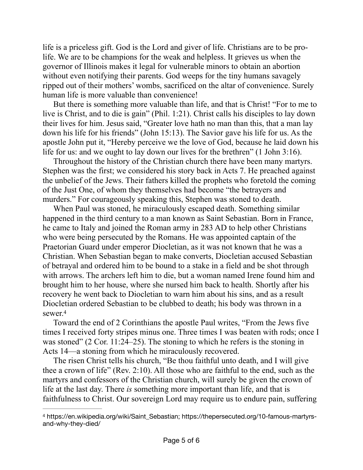life is a priceless gift. God is the Lord and giver of life. Christians are to be prolife. We are to be champions for the weak and helpless. It grieves us when the governor of Illinois makes it legal for vulnerable minors to obtain an abortion without even notifying their parents. God weeps for the tiny humans savagely ripped out of their mothers' wombs, sacrificed on the altar of convenience. Surely human life is more valuable than convenience!

But there is something more valuable than life, and that is Christ! "For to me to live is Christ, and to die is gain" (Phil. 1:21). Christ calls his disciples to lay down their lives for him. Jesus said, "Greater love hath no man than this, that a man lay down his life for his friends" (John 15:13). The Savior gave his life for us. As the apostle John put it, "Hereby perceive we the love of God, because he laid down his life for us: and we ought to lay down our lives for the brethren" (1 John 3:16).

Throughout the history of the Christian church there have been many martyrs. Stephen was the first; we considered his story back in Acts 7. He preached against the unbelief of the Jews. Their fathers killed the prophets who foretold the coming of the Just One, of whom they themselves had become "the betrayers and murders." For courageously speaking this, Stephen was stoned to death.

When Paul was stoned, he miraculously escaped death. Something similar happened in the third century to a man known as Saint Sebastian. Born in France, he came to Italy and joined the Roman army in 283 AD to help other Christians who were being persecuted by the Romans. He was appointed captain of the Praetorian Guard under emperor Diocletian, as it was not known that he was a Christian. When Sebastian began to make converts, Diocletian accused Sebastian of betrayal and ordered him to be bound to a stake in a field and be shot through with arrows. The archers left him to die, but a woman named Irene found him and brought him to her house, where she nursed him back to health. Shortly after his recovery he went back to Diocletian to warn him about his sins, and as a result Diocletian ordered Sebastian to be clubbed to death; his body was thrown in a sewer[.4](#page-4-0)

<span id="page-4-1"></span>Toward the end of 2 Corinthians the apostle Paul writes, "From the Jews five times I received forty stripes minus one. Three times I was beaten with rods; once I was stoned" (2 Cor. 11:24–25). The stoning to which he refers is the stoning in Acts 14—a stoning from which he miraculously recovered.

The risen Christ tells his church, "Be thou faithful unto death, and I will give thee a crown of life" (Rev. 2:10). All those who are faithful to the end, such as the martyrs and confessors of the Christian church, will surely be given the crown of life at the last day. There *is* something more important than life, and that is faithfulness to Christ. Our sovereign Lord may require us to endure pain, suffering

<span id="page-4-0"></span><sup>&</sup>lt;sup>[4](#page-4-1)</sup> https://en.wikipedia.org/wiki/Saint\_Sebastian; https://thepersecuted.org/10-famous-martyrsand-why-they-died/